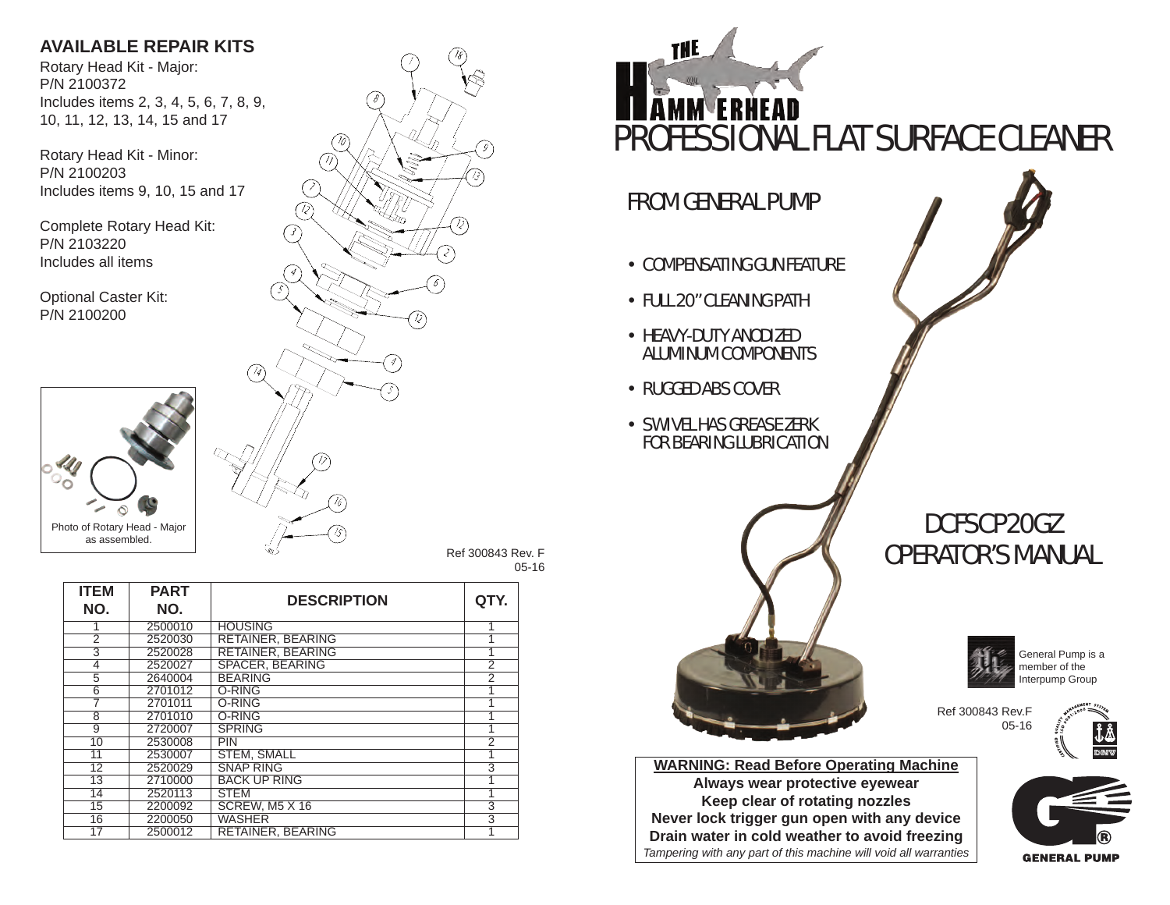# **AVAILABLE REPAIR KITS**

Rotary Head Kit - Major: P/N 2100372 Includes items 2, 3, 4, 5, 6, 7, 8, 9, 10, 11, 12, 13, 14, 15 and 17

Rotary Head Kit - Minor: P/N 2100203 Includes items 9, 10, 15 and 17

Complete Rotary Head Kit: P/N 2103220 Includes all items

Optional Caster Kit: P/N 2100200



**PART**

5 2640004 BEARING<br>6 2701012 O-RING

16 2200050 WASHER<br>17 2500012 RETAINER

2 2520030 RETAINER, BEARING<br>3 2520028 RETAINER, BEARING

3 2520028 RETAINER, BEARING 1 4 2520027 SPACER, BEARING 2<br>5 2640004 BEARING 2

6 2701012 O-RING 1 7 2701011 O-RING 1 8 | 2701010 |O-RING | 1 9 | 2720007 | SPRING | 1 10 2530008 PIN 2 11 2530007 STEM, SMALL 1<br>12 2520029 SNAP RING 3 12 2520029 SNAP RING 3<br>13 2710000 BACK UP RING 1 13 2710000 BACK UP RING 1<br>14 2520113 STEM 1 14 | 2520113 | STEM | 1 15 2200092 SCREW, M5 X 16 3

RETAINER, BEARING

**ITEM NO.**



05-16



**Keep clear of rotating nozzles Never lock trigger gun open with any device Drain water in cold weather to avoid freezing** *Tampering with any part of this machine will void all warranties*

**GENERAL PUMP**